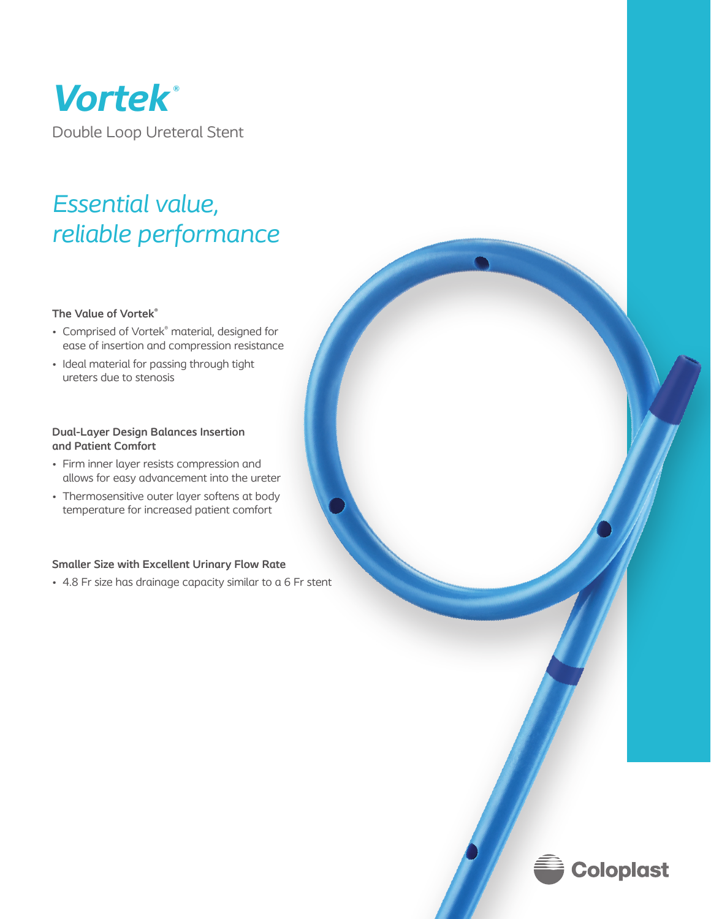

# *Essential value, reliable performance*

### **The Value of Vortek®**

- Comprised of Vortek<sup>®</sup> material, designed for ease of insertion and compression resistance
- Ideal material for passing through tight ureters due to stenosis

## **Dual-Layer Design Balances Insertion and Patient Comfort**

- Firm inner layer resists compression and allows for easy advancement into the ureter
- Thermosensitive outer layer softens at body temperature for increased patient comfort

### **Smaller Size with Excellent Urinary Flow Rate**

• 4.8 Fr size has drainage capacity similar to a 6 Fr stent